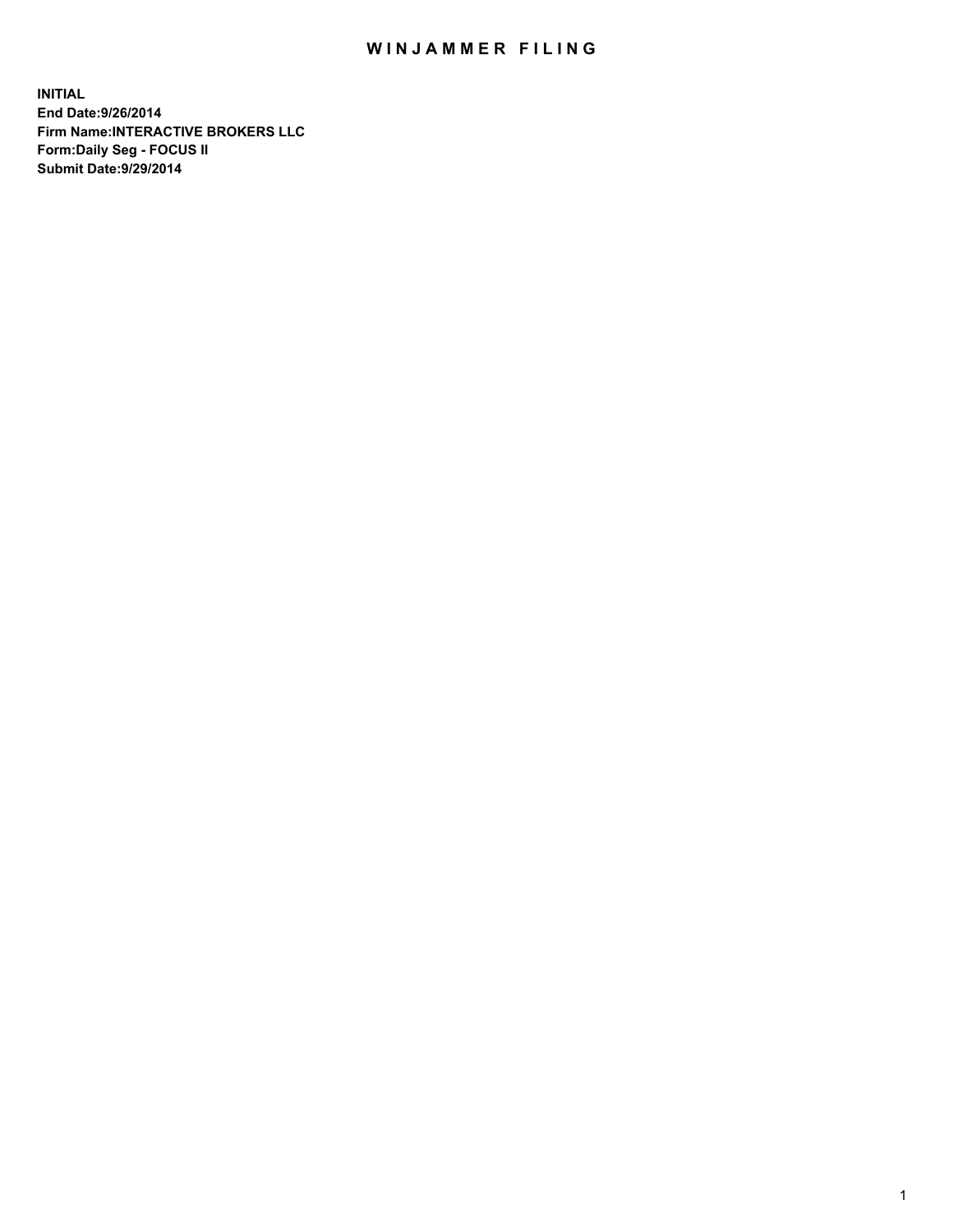## WIN JAMMER FILING

**INITIAL End Date:9/26/2014 Firm Name:INTERACTIVE BROKERS LLC Form:Daily Seg - FOCUS II Submit Date:9/29/2014**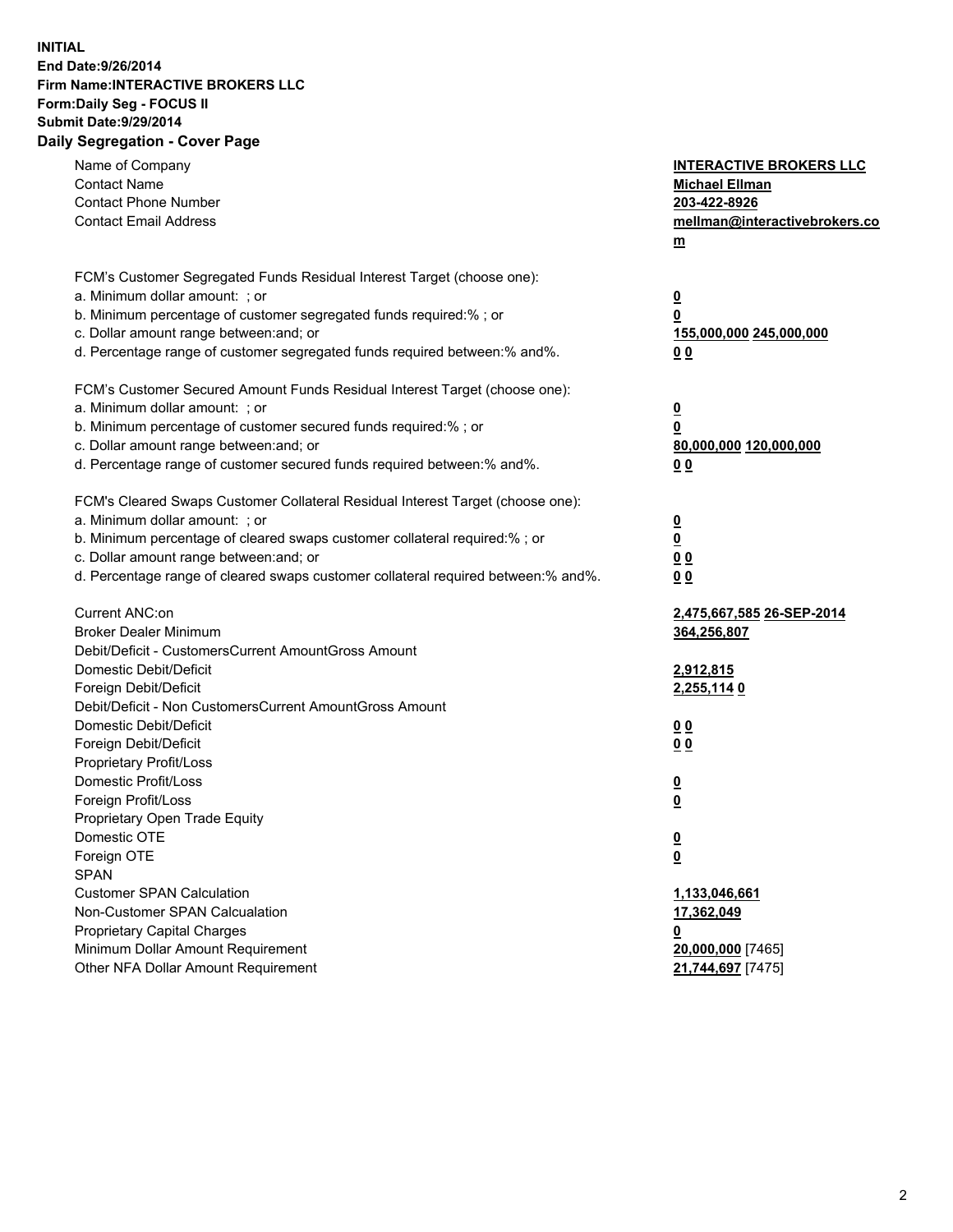## **INITIAL End Date:9/26/2014 Firm Name:INTERACTIVE BROKERS LLC Form:Daily Seg - FOCUS II Submit Date:9/29/2014 Daily Segregation - Cover Page**

| Name of Company                                                                   | <b>INTERACTIVE BROKERS LLC</b>                     |
|-----------------------------------------------------------------------------------|----------------------------------------------------|
| <b>Contact Name</b>                                                               | <b>Michael Ellman</b>                              |
| <b>Contact Phone Number</b>                                                       | 203-422-8926                                       |
| <b>Contact Email Address</b>                                                      | mellman@interactivebrokers.co                      |
|                                                                                   | $\underline{\mathbf{m}}$                           |
| FCM's Customer Segregated Funds Residual Interest Target (choose one):            |                                                    |
| a. Minimum dollar amount: ; or                                                    | $\overline{\mathbf{0}}$                            |
| b. Minimum percentage of customer segregated funds required:% ; or                | 0                                                  |
| c. Dollar amount range between: and; or                                           | 155,000,000 245,000,000                            |
| d. Percentage range of customer segregated funds required between:% and%.         | 00                                                 |
| FCM's Customer Secured Amount Funds Residual Interest Target (choose one):        |                                                    |
| a. Minimum dollar amount: ; or                                                    | $\overline{\mathbf{0}}$                            |
| b. Minimum percentage of customer secured funds required:% ; or                   | 0                                                  |
| c. Dollar amount range between: and; or                                           | 80,000,000 120,000,000                             |
| d. Percentage range of customer secured funds required between:% and%.            | 00                                                 |
| FCM's Cleared Swaps Customer Collateral Residual Interest Target (choose one):    |                                                    |
| a. Minimum dollar amount: ; or                                                    |                                                    |
| b. Minimum percentage of cleared swaps customer collateral required:% ; or        | $\overline{\mathbf{0}}$<br>$\overline{\mathbf{0}}$ |
| c. Dollar amount range between: and; or                                           | 0 <sub>0</sub>                                     |
| d. Percentage range of cleared swaps customer collateral required between:% and%. | 0 <sub>0</sub>                                     |
|                                                                                   |                                                    |
| Current ANC:on                                                                    | 2,475,667,585 26-SEP-2014                          |
| <b>Broker Dealer Minimum</b>                                                      | 364,256,807                                        |
| Debit/Deficit - CustomersCurrent AmountGross Amount                               |                                                    |
| Domestic Debit/Deficit                                                            | 2,912,815                                          |
| Foreign Debit/Deficit                                                             | 2,255,114 0                                        |
| Debit/Deficit - Non CustomersCurrent AmountGross Amount                           |                                                    |
| Domestic Debit/Deficit                                                            | 0 <sub>0</sub>                                     |
| Foreign Debit/Deficit                                                             | 0 <sub>0</sub>                                     |
| Proprietary Profit/Loss                                                           |                                                    |
| Domestic Profit/Loss                                                              | $\overline{\mathbf{0}}$                            |
| Foreign Profit/Loss                                                               | $\underline{\mathbf{0}}$                           |
| Proprietary Open Trade Equity                                                     |                                                    |
| Domestic OTE                                                                      | <u>0</u>                                           |
| Foreign OTE                                                                       | <u>0</u>                                           |
| <b>SPAN</b>                                                                       |                                                    |
| <b>Customer SPAN Calculation</b>                                                  | 1,133,046,661                                      |
| Non-Customer SPAN Calcualation                                                    | 17,362,049                                         |
| Proprietary Capital Charges                                                       | <u>0</u>                                           |
| Minimum Dollar Amount Requirement                                                 | 20,000,000 [7465]                                  |
| Other NFA Dollar Amount Requirement                                               | 21,744,697 [7475]                                  |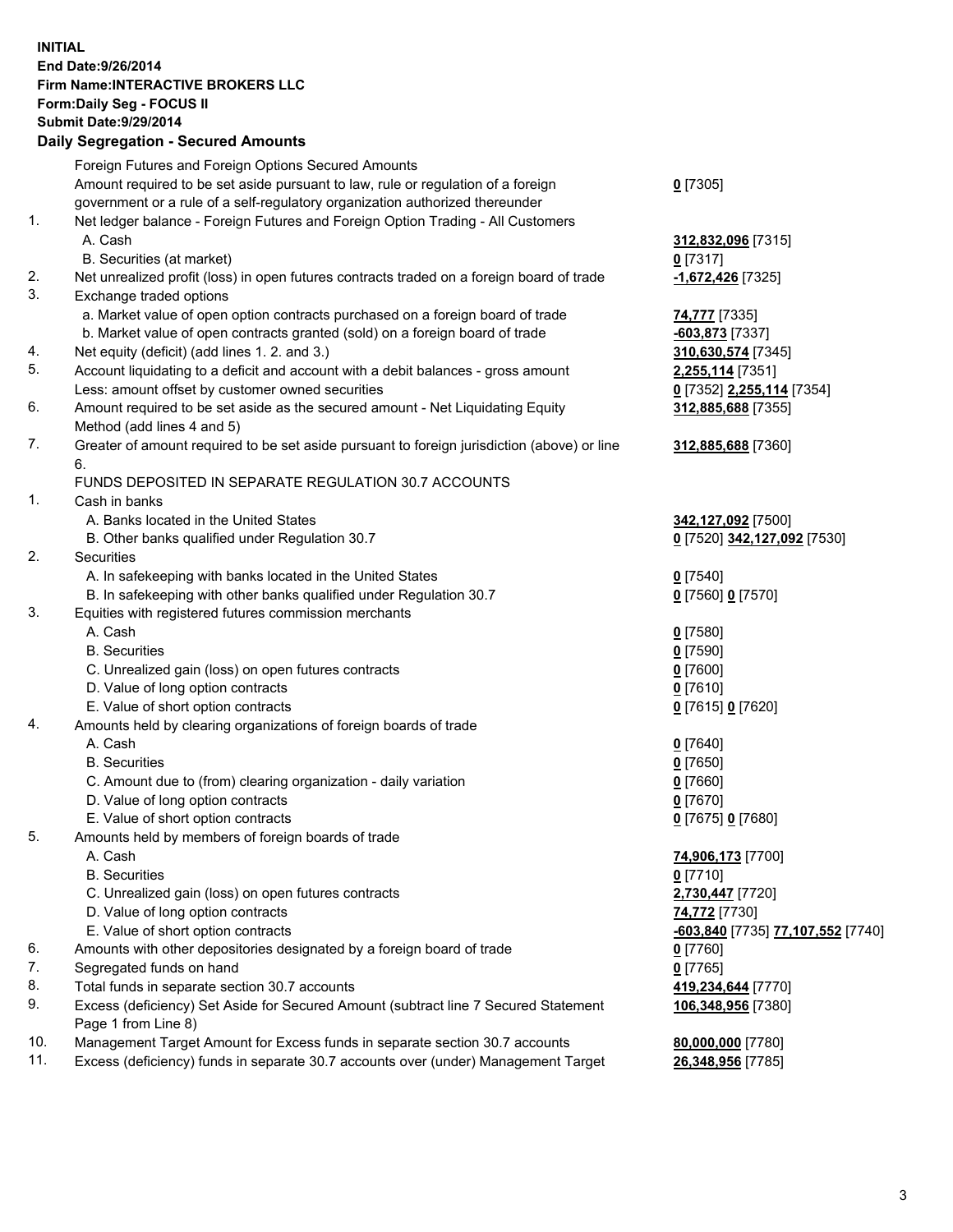## **INITIAL End Date:9/26/2014 Firm Name:INTERACTIVE BROKERS LLC Form:Daily Seg - FOCUS II Submit Date:9/29/2014 Daily Segregation - Secured Amounts**

|     | Foreign Futures and Foreign Options Secured Amounts                                                        |                                                       |
|-----|------------------------------------------------------------------------------------------------------------|-------------------------------------------------------|
|     | Amount required to be set aside pursuant to law, rule or regulation of a foreign                           | $0$ [7305]                                            |
|     | government or a rule of a self-regulatory organization authorized thereunder                               |                                                       |
| 1.  | Net ledger balance - Foreign Futures and Foreign Option Trading - All Customers                            |                                                       |
|     | A. Cash                                                                                                    | 312,832,096 [7315]                                    |
|     | B. Securities (at market)                                                                                  | $0$ [7317]                                            |
| 2.  | Net unrealized profit (loss) in open futures contracts traded on a foreign board of trade                  | <u>-1,672,426</u> [7325]                              |
| 3.  | Exchange traded options                                                                                    |                                                       |
|     | a. Market value of open option contracts purchased on a foreign board of trade                             | 74,777 [7335]                                         |
|     | b. Market value of open contracts granted (sold) on a foreign board of trade                               | -603,873 [7337]                                       |
| 4.  | Net equity (deficit) (add lines 1.2. and 3.)                                                               | 310,630,574 [7345]                                    |
| 5.  | Account liquidating to a deficit and account with a debit balances - gross amount                          | 2,255,114 [7351]                                      |
|     | Less: amount offset by customer owned securities                                                           | 0 [7352] 2,255,114 [7354]                             |
| 6.  | Amount required to be set aside as the secured amount - Net Liquidating Equity                             | 312,885,688 [7355]                                    |
|     | Method (add lines 4 and 5)                                                                                 |                                                       |
| 7.  | Greater of amount required to be set aside pursuant to foreign jurisdiction (above) or line                | 312,885,688 [7360]                                    |
|     | 6.                                                                                                         |                                                       |
|     | FUNDS DEPOSITED IN SEPARATE REGULATION 30.7 ACCOUNTS                                                       |                                                       |
| 1.  | Cash in banks                                                                                              |                                                       |
|     | A. Banks located in the United States                                                                      | 342,127,092 [7500]                                    |
|     | B. Other banks qualified under Regulation 30.7                                                             | 0 [7520] 342,127,092 [7530]                           |
| 2.  | Securities                                                                                                 |                                                       |
|     | A. In safekeeping with banks located in the United States                                                  | $Q$ [7540]                                            |
|     | B. In safekeeping with other banks qualified under Regulation 30.7                                         | 0 [7560] 0 [7570]                                     |
| 3.  | Equities with registered futures commission merchants                                                      |                                                       |
|     | A. Cash                                                                                                    | $0$ [7580]                                            |
|     | <b>B.</b> Securities                                                                                       | $0$ [7590]                                            |
|     | C. Unrealized gain (loss) on open futures contracts                                                        | $0$ [7600]                                            |
|     | D. Value of long option contracts                                                                          | $0$ [7610]                                            |
|     | E. Value of short option contracts                                                                         |                                                       |
| 4.  |                                                                                                            | 0 [7615] 0 [7620]                                     |
|     | Amounts held by clearing organizations of foreign boards of trade<br>A. Cash                               |                                                       |
|     |                                                                                                            | $0$ [7640]                                            |
|     | <b>B.</b> Securities                                                                                       | $0$ [7650]                                            |
|     | C. Amount due to (from) clearing organization - daily variation                                            | $0$ [7660]                                            |
|     | D. Value of long option contracts                                                                          | $0$ [7670]                                            |
|     | E. Value of short option contracts                                                                         | 0 [7675] 0 [7680]                                     |
| 5.  | Amounts held by members of foreign boards of trade                                                         |                                                       |
|     | A. Cash                                                                                                    | 74,906,173 [7700]                                     |
|     | <b>B.</b> Securities                                                                                       | $0$ [7710]                                            |
|     | C. Unrealized gain (loss) on open futures contracts                                                        | 2,730,447 [7720]                                      |
|     | D. Value of long option contracts                                                                          | 74,772 [7730]                                         |
|     | E. Value of short option contracts                                                                         | <mark>-603,840</mark> [7735] <b>77,107,552</b> [7740] |
| 6.  | Amounts with other depositories designated by a foreign board of trade                                     | $0$ [7760]                                            |
| 7.  | Segregated funds on hand                                                                                   | $0$ [7765]                                            |
| 8.  | Total funds in separate section 30.7 accounts                                                              | 419,234,644 [7770]                                    |
| 9.  | Excess (deficiency) Set Aside for Secured Amount (subtract line 7 Secured Statement<br>Page 1 from Line 8) | 106,348,956 [7380]                                    |
| 10. | Management Target Amount for Excess funds in separate section 30.7 accounts                                | 80,000,000 [7780]                                     |
| 11. | Excess (deficiency) funds in separate 30.7 accounts over (under) Management Target                         | 26,348,956 [7785]                                     |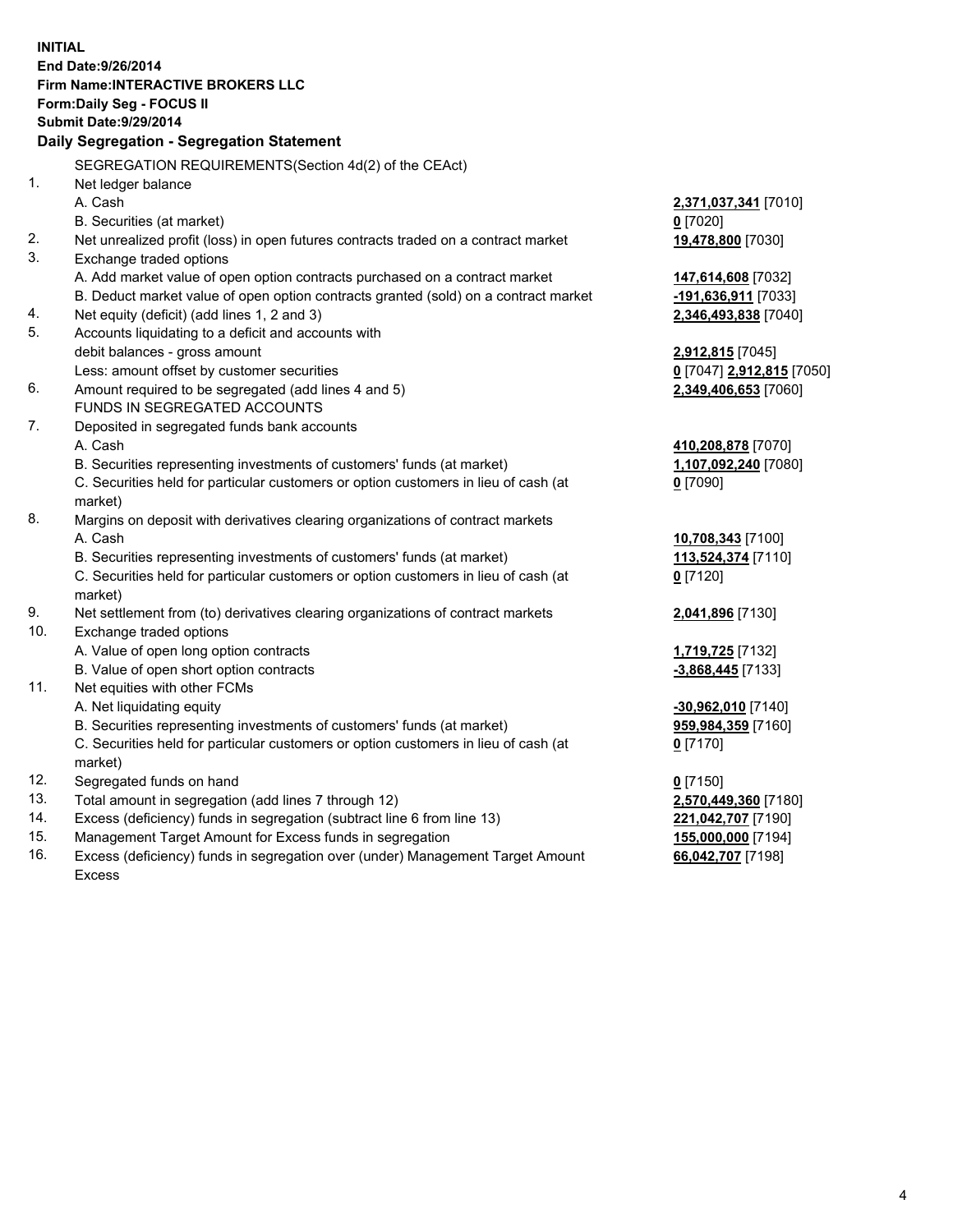**INITIAL End Date:9/26/2014 Firm Name:INTERACTIVE BROKERS LLC Form:Daily Seg - FOCUS II Submit Date:9/29/2014 Daily Segregation - Segregation Statement** SEGREGATION REQUIREMENTS(Section 4d(2) of the CEAct) 1. Net ledger balance A. Cash **2,371,037,341** [7010] B. Securities (at market) **0** [7020] 2. Net unrealized profit (loss) in open futures contracts traded on a contract market **19,478,800** [7030] 3. Exchange traded options A. Add market value of open option contracts purchased on a contract market **147,614,608** [7032] B. Deduct market value of open option contracts granted (sold) on a contract market **-191,636,911** [7033] 4. Net equity (deficit) (add lines 1, 2 and 3) **2,346,493,838** [7040] 5. Accounts liquidating to a deficit and accounts with debit balances - gross amount **2,912,815** [7045] Less: amount offset by customer securities **0** [7047] **2,912,815** [7050] 6. Amount required to be segregated (add lines 4 and 5) **2,349,406,653** [7060] FUNDS IN SEGREGATED ACCOUNTS 7. Deposited in segregated funds bank accounts A. Cash **410,208,878** [7070] B. Securities representing investments of customers' funds (at market) **1,107,092,240** [7080] C. Securities held for particular customers or option customers in lieu of cash (at market) **0** [7090] 8. Margins on deposit with derivatives clearing organizations of contract markets A. Cash **10,708,343** [7100] B. Securities representing investments of customers' funds (at market) **113,524,374** [7110] C. Securities held for particular customers or option customers in lieu of cash (at market) **0** [7120] 9. Net settlement from (to) derivatives clearing organizations of contract markets **2,041,896** [7130] 10. Exchange traded options A. Value of open long option contracts **1,719,725** [7132] B. Value of open short option contracts **-3,868,445** [7133] 11. Net equities with other FCMs A. Net liquidating equity **-30,962,010** [7140] B. Securities representing investments of customers' funds (at market) **959,984,359** [7160] C. Securities held for particular customers or option customers in lieu of cash (at market) **0** [7170] 12. Segregated funds on hand **0** [7150] 13. Total amount in segregation (add lines 7 through 12) **2,570,449,360** [7180] 14. Excess (deficiency) funds in segregation (subtract line 6 from line 13) **221,042,707** [7190] 15. Management Target Amount for Excess funds in segregation **155,000,000** [7194]

16. Excess (deficiency) funds in segregation over (under) Management Target Amount Excess

**66,042,707** [7198]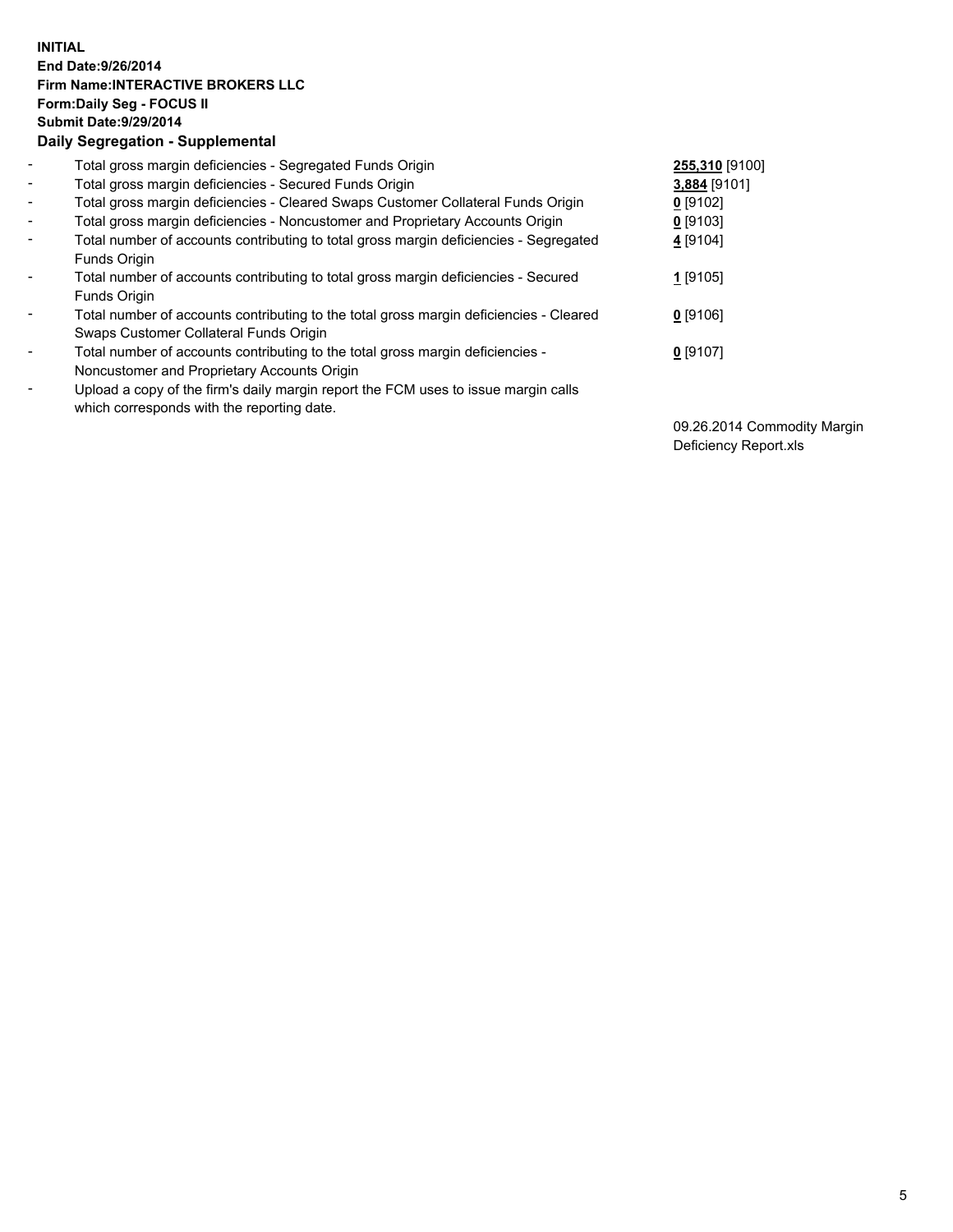## **INITIAL End Date:9/26/2014 Firm Name:INTERACTIVE BROKERS LLC Form:Daily Seg - FOCUS II Submit Date:9/29/2014 Daily Segregation - Supplemental**

| $\blacksquare$           | Total gross margin deficiencies - Segregated Funds Origin                                                                        | 255,310 [9100] |
|--------------------------|----------------------------------------------------------------------------------------------------------------------------------|----------------|
| $\blacksquare$           | Total gross margin deficiencies - Secured Funds Origin                                                                           | 3,884 [9101]   |
| $\blacksquare$           | Total gross margin deficiencies - Cleared Swaps Customer Collateral Funds Origin                                                 | $0$ [9102]     |
| $\blacksquare$           | Total gross margin deficiencies - Noncustomer and Proprietary Accounts Origin                                                    | $0$ [9103]     |
| $\blacksquare$           | Total number of accounts contributing to total gross margin deficiencies - Segregated<br>Funds Origin                            | 4 [9104]       |
| $\blacksquare$           | Total number of accounts contributing to total gross margin deficiencies - Secured<br><b>Funds Origin</b>                        | 1 [9105]       |
| $\overline{\phantom{a}}$ | Total number of accounts contributing to the total gross margin deficiencies - Cleared<br>Swaps Customer Collateral Funds Origin | $0$ [9106]     |
| -                        | Total number of accounts contributing to the total gross margin deficiencies -<br>Noncustomer and Proprietary Accounts Origin    | $0$ [9107]     |
| $\blacksquare$           | Upload a copy of the firm's daily margin report the FCM uses to issue margin calls<br>which corresponds with the reporting date. |                |

09.26.2014 Commodity Margin Deficiency Report.xls